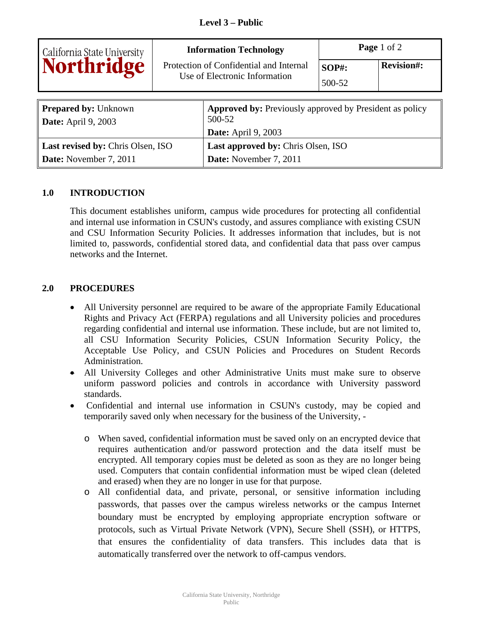| California State University<br>Northridge                 | <b>Information Technology</b><br>Protection of Confidential and Internal<br>Use of Electronic Information |                                                                                                        | Page 1 of 2            |                   |
|-----------------------------------------------------------|-----------------------------------------------------------------------------------------------------------|--------------------------------------------------------------------------------------------------------|------------------------|-------------------|
|                                                           |                                                                                                           |                                                                                                        | <b>SOP#:</b><br>500-52 | <b>Revision#:</b> |
| <b>Prepared by: Unknown</b><br><b>Date:</b> April 9, 2003 |                                                                                                           | <b>Approved by:</b> Previously approved by President as policy<br>500-52<br><b>Date:</b> April 9, 2003 |                        |                   |
| Last revised by: Chris Olsen, ISO                         |                                                                                                           | <b>Last approved by: Chris Olsen, ISO</b>                                                              |                        |                   |
| Date: November 7, 2011                                    |                                                                                                           | Date: November 7, 2011                                                                                 |                        |                   |

## **1.0 INTRODUCTION**

This document establishes uniform, campus wide procedures for protecting all confidential and internal use information in CSUN's custody, and assures compliance with existing CSUN and CSU Information Security Policies. It addresses information that includes, but is not limited to, passwords, confidential stored data, and confidential data that pass over campus networks and the Internet.

## **2.0 PROCEDURES**

- All University personnel are required to be aware of the appropriate Family Educational Rights and Privacy Act (FERPA) regulations and all University policies and procedures regarding confidential and internal use information. These include, but are not limited to, all CSU Information Security Policies, CSUN Information Security Policy, the Acceptable Use Policy, and CSUN Policies and Procedures on Student Records Administration.
- All University Colleges and other Administrative Units must make sure to observe uniform password policies and controls in accordance with University password standards.
- Confidential and internal use information in CSUN's custody, may be copied and temporarily saved only when necessary for the business of the University,
	- o When saved, confidential information must be saved only on an encrypted device that requires authentication and/or password protection and the data itself must be encrypted. All temporary copies must be deleted as soon as they are no longer being used. Computers that contain confidential information must be wiped clean (deleted and erased) when they are no longer in use for that purpose.
	- o All confidential data, and private, personal, or sensitive information including passwords, that passes over the campus wireless networks or the campus Internet boundary must be encrypted by employing appropriate encryption software or protocols, such as Virtual Private Network (VPN), Secure Shell (SSH), or HTTPS, that ensures the confidentiality of data transfers. This includes data that is automatically transferred over the network to off-campus vendors.